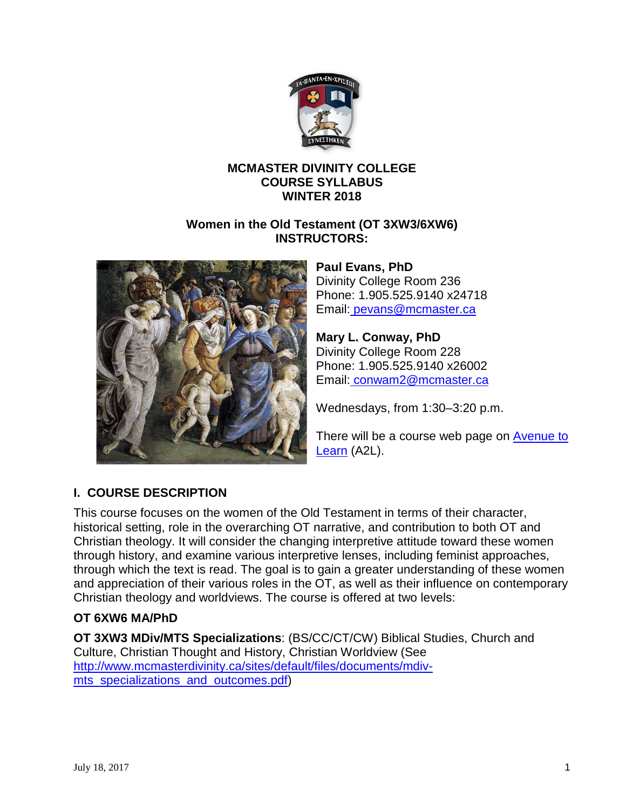

## **MCMASTER DIVINITY COLLEGE COURSE SYLLABUS WINTER 2018**

## **Women in the Old Testament (OT 3XW3/6XW6) INSTRUCTORS:**



**Paul Evans, PhD**  Divinity College Room 236 Phone: 1.905.525.9140 x24718 Email: [pevans@mcmaster.ca](mailto:pevans@mcmaster.ca)

**Mary L. Conway, PhD** Divinity College Room 228 Phone: 1.905.525.9140 x26002 Email: [conwam2@mcmaster.ca](mailto:conwam2@mcmaster.ca)

Wednesdays, from 1:30–3:20 p.m.

There will be a course web page on Avenue to [Learn](http://avenue.mcmaster.ca/) (A2L).

# **I. COURSE DESCRIPTION**

This course focuses on the women of the Old Testament in terms of their character, historical setting, role in the overarching OT narrative, and contribution to both OT and Christian theology. It will consider the changing interpretive attitude toward these women through history, and examine various interpretive lenses, including feminist approaches, through which the text is read. The goal is to gain a greater understanding of these women and appreciation of their various roles in the OT, as well as their influence on contemporary Christian theology and worldviews. The course is offered at two levels:

## **OT 6XW6 MA/PhD**

**OT 3XW3 MDiv/MTS Specializations**: (BS/CC/CT/CW) Biblical Studies, Church and Culture, Christian Thought and History, Christian Worldview (See [http://www.mcmasterdivinity.ca/sites/default/files/documents/mdiv](http://www.mcmasterdivinity.ca/sites/default/files/documents/mdiv-mts_specializations_and_outcomes.pdf)[mts\\_specializations\\_and\\_outcomes.pdf\)](http://www.mcmasterdivinity.ca/sites/default/files/documents/mdiv-mts_specializations_and_outcomes.pdf)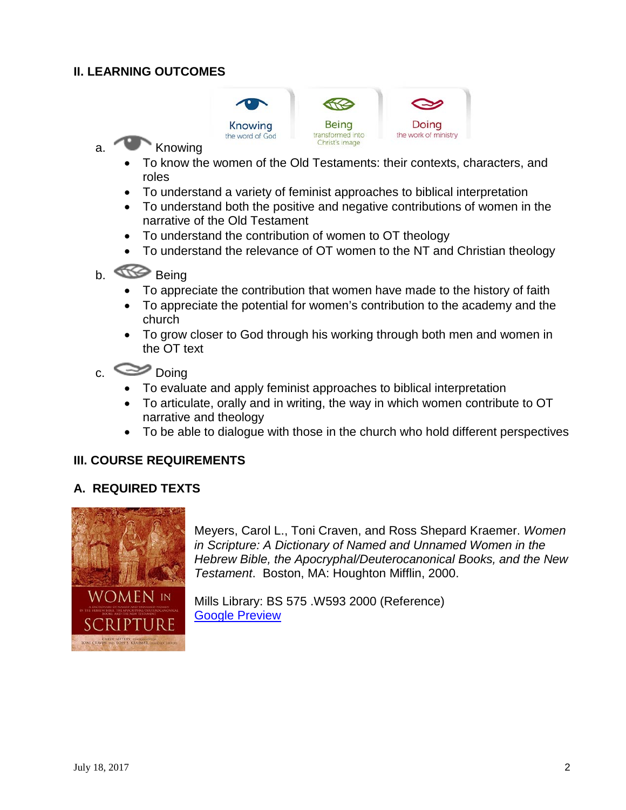## **II. LEARNING OUTCOMES**



- a. Knowing
	- To know the women of the Old Testaments: their contexts, characters, and roles
	- To understand a variety of feminist approaches to biblical interpretation
	- To understand both the positive and negative contributions of women in the narrative of the Old Testament
	- To understand the contribution of women to OT theology
	- To understand the relevance of OT women to the NT and Christian theology

# b. Comp Being

- To appreciate the contribution that women have made to the history of faith
- To appreciate the potential for women's contribution to the academy and the church
- To grow closer to God through his working through both men and women in the OT text

 $c.$   $\infty$  Doing

- To evaluate and apply feminist approaches to biblical interpretation
- To articulate, orally and in writing, the way in which women contribute to OT narrative and theology
- To be able to dialogue with those in the church who hold different perspectives

#### **III. COURSE REQUIREMENTS**

#### **A. REQUIRED TEXTS**



Meyers, Carol L., Toni Craven, and Ross Shepard Kraemer. *Women in Scripture: A Dictionary of Named and Unnamed Women in the Hebrew Bible, the Apocryphal/Deuterocanonical Books, and the New Testament*. Boston, MA: Houghton Mifflin, 2000.

Mills Library: BS 575 .W593 2000 (Reference) **[Google Preview](https://books.google.ca/books?id=6txrDQAAQBAJ&printsec=frontcover#v=onepage&q&f=false)**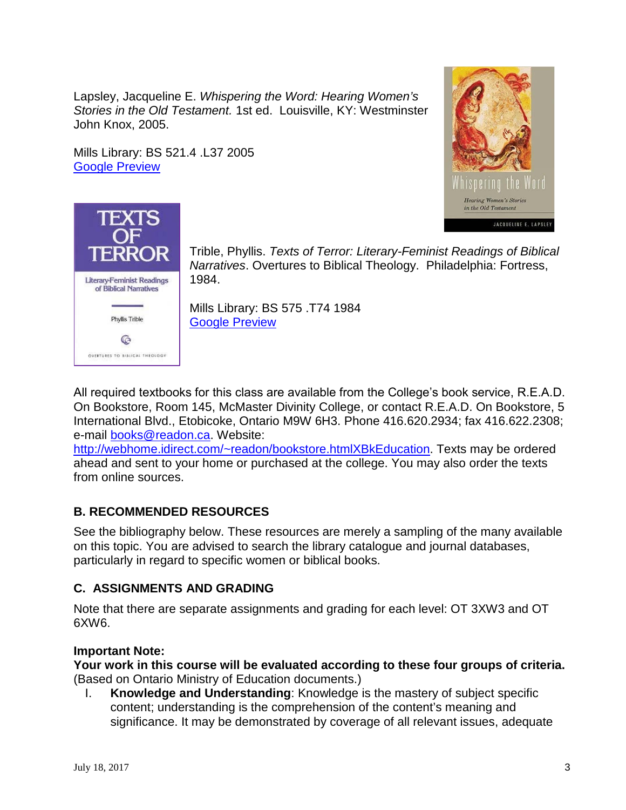Lapsley, Jacqueline E. *Whispering the Word: Hearing Women's Stories in the Old Testament.* 1st ed. Louisville, KY: Westminster John Knox, 2005.

Mills Library: BS 521.4 .L37 2005 [Google Preview](https://books.google.ca/books?id=YqB1BwAAQBAJ&printsec=frontcover&dq=whispering+the+word+lapsley&hl=en&sa=X&ved=0ahUKEwiVo8Xng5vUAhWrx4MKHTGgBHMQ6AEIKDAA#v=onepage&q=whispering%20the%20word%20lapsley&f=false)





Trible, Phyllis. *Texts of Terror: Literary-Feminist Readings of Biblical Narratives*. Overtures to Biblical Theology. Philadelphia: Fortress, 1984.

Mills Library: BS 575 .T74 1984 [Google Preview](https://books.google.ca/books?id=KxNtZ9tyed4C&printsec=frontcover&dq=texts+of+terror&hl=en&sa=X&redir_esc=y#v=onepage&q=texts%20of%20terror&f=false)

All required textbooks for this class are available from the College's book service, R.E.A.D. On Bookstore, Room 145, McMaster Divinity College, or contact R.E.A.D. On Bookstore, 5 International Blvd., Etobicoke, Ontario M9W 6H3. Phone 416.620.2934; fax 416.622.2308; e-mail [books@readon.ca.](mailto:books@readon.ca) Website:

[http://webhome.idirect.com/~readon/bookstore.htmlXBkEducation.](http://webhome.idirect.com/%7Ereadon/bookstore.html#BkEducation) Texts may be ordered ahead and sent to your home or purchased at the college. You may also order the texts from online sources.

## **B. RECOMMENDED RESOURCES**

See the bibliography below. These resources are merely a sampling of the many available on this topic. You are advised to search the library catalogue and journal databases, particularly in regard to specific women or biblical books.

## **C. ASSIGNMENTS AND GRADING**

Note that there are separate assignments and grading for each level: OT 3XW3 and OT 6XW6.

## **Important Note:**

**Your work in this course will be evaluated according to these four groups of criteria.**  (Based on Ontario Ministry of Education documents.)

I. **Knowledge and Understanding**: Knowledge is the mastery of subject specific content; understanding is the comprehension of the content's meaning and significance. It may be demonstrated by coverage of all relevant issues, adequate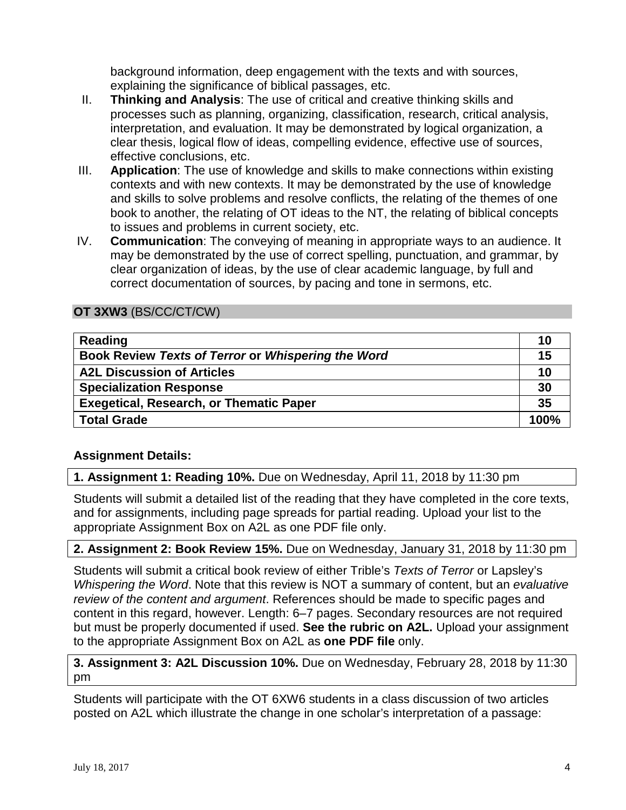background information, deep engagement with the texts and with sources, explaining the significance of biblical passages, etc.

- II. **Thinking and Analysis**: The use of critical and creative thinking skills and processes such as planning, organizing, classification, research, critical analysis, interpretation, and evaluation. It may be demonstrated by logical organization, a clear thesis, logical flow of ideas, compelling evidence, effective use of sources, effective conclusions, etc.
- III. **Application**: The use of knowledge and skills to make connections within existing contexts and with new contexts. It may be demonstrated by the use of knowledge and skills to solve problems and resolve conflicts, the relating of the themes of one book to another, the relating of OT ideas to the NT, the relating of biblical concepts to issues and problems in current society, etc.
- IV. **Communication**: The conveying of meaning in appropriate ways to an audience. It may be demonstrated by the use of correct spelling, punctuation, and grammar, by clear organization of ideas, by the use of clear academic language, by full and correct documentation of sources, by pacing and tone in sermons, etc.

## **OT 3XW3** (BS/CC/CT/CW)

| Reading                                            | 10   |
|----------------------------------------------------|------|
| Book Review Texts of Terror or Whispering the Word | 15   |
| <b>A2L Discussion of Articles</b>                  | 10   |
| <b>Specialization Response</b>                     | 30   |
| <b>Exegetical, Research, or Thematic Paper</b>     | 35   |
| <b>Total Grade</b>                                 | 100% |

## **Assignment Details:**

#### **1. Assignment 1: Reading 10%.** Due on Wednesday, April 11, 2018 by 11:30 pm

Students will submit a detailed list of the reading that they have completed in the core texts, and for assignments, including page spreads for partial reading. Upload your list to the appropriate Assignment Box on A2L as one PDF file only.

#### **2. Assignment 2: Book Review 15%.** Due on Wednesday, January 31, 2018 by 11:30 pm

Students will submit a critical book review of either Trible's *Texts of Terror* or Lapsley's *Whispering the Word*. Note that this review is NOT a summary of content, but an *evaluative review of the content and argument*. References should be made to specific pages and content in this regard, however. Length: 6–7 pages. Secondary resources are not required but must be properly documented if used. **See the rubric on A2L.** Upload your assignment to the appropriate Assignment Box on A2L as **one PDF file** only.

#### **3. Assignment 3: A2L Discussion 10%.** Due on Wednesday, February 28, 2018 by 11:30 pm

Students will participate with the OT 6XW6 students in a class discussion of two articles posted on A2L which illustrate the change in one scholar's interpretation of a passage: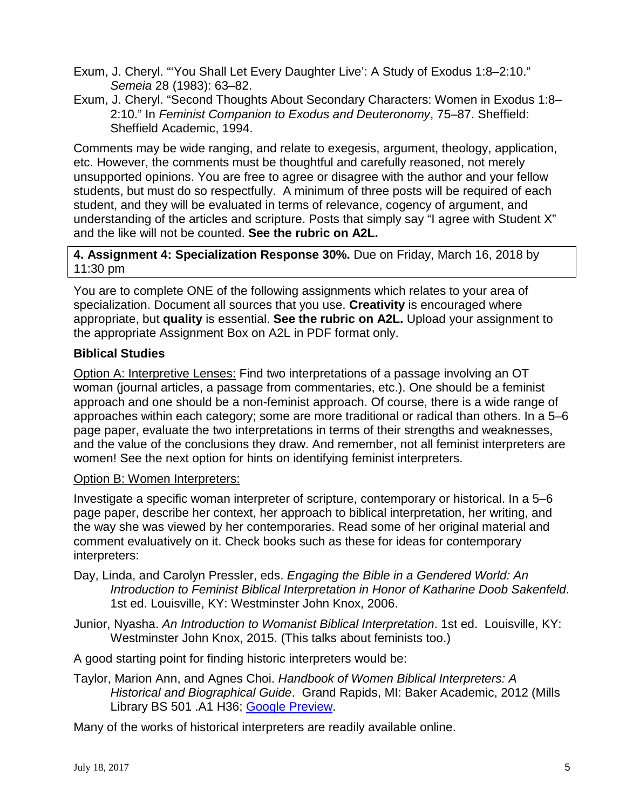- Exum, J. Cheryl. "'You Shall Let Every Daughter Live': A Study of Exodus 1:8–2:10." *Semeia* 28 (1983): 63–82.
- Exum, J. Cheryl. "Second Thoughts About Secondary Characters: Women in Exodus 1:8– 2:10." In *Feminist Companion to Exodus and Deuteronomy*, 75–87. Sheffield: Sheffield Academic, 1994.

Comments may be wide ranging, and relate to exegesis, argument, theology, application, etc. However, the comments must be thoughtful and carefully reasoned, not merely unsupported opinions. You are free to agree or disagree with the author and your fellow students, but must do so respectfully. A minimum of three posts will be required of each student, and they will be evaluated in terms of relevance, cogency of argument, and understanding of the articles and scripture. Posts that simply say "I agree with Student X" and the like will not be counted. **See the rubric on A2L.**

**4. Assignment 4: Specialization Response 30%.** Due on Friday, March 16, 2018 by 11:30 pm

You are to complete ONE of the following assignments which relates to your area of specialization. Document all sources that you use. **Creativity** is encouraged where appropriate, but **quality** is essential. **See the rubric on A2L.** Upload your assignment to the appropriate Assignment Box on A2L in PDF format only.

### **Biblical Studies**

Option A: Interpretive Lenses: Find two interpretations of a passage involving an OT woman (journal articles, a passage from commentaries, etc.). One should be a feminist approach and one should be a non-feminist approach. Of course, there is a wide range of approaches within each category; some are more traditional or radical than others. In a 5–6 page paper, evaluate the two interpretations in terms of their strengths and weaknesses, and the value of the conclusions they draw. And remember, not all feminist interpreters are women! See the next option for hints on identifying feminist interpreters.

#### Option B: Women Interpreters:

Investigate a specific woman interpreter of scripture, contemporary or historical. In a 5–6 page paper, describe her context, her approach to biblical interpretation, her writing, and the way she was viewed by her contemporaries. Read some of her original material and comment evaluatively on it. Check books such as these for ideas for contemporary interpreters:

- Day, Linda, and Carolyn Pressler, eds. *Engaging the Bible in a Gendered World: An Introduction to Feminist Biblical Interpretation in Honor of Katharine Doob Sakenfeld*. 1st ed. Louisville, KY: Westminster John Knox, 2006.
- Junior, Nyasha. *An Introduction to Womanist Biblical Interpretation*. 1st ed. Louisville, KY: Westminster John Knox, 2015. (This talks about feminists too.)

A good starting point for finding historic interpreters would be:

Taylor, Marion Ann, and Agnes Choi. *Handbook of Women Biblical Interpreters: A Historical and Biographical Guide*. Grand Rapids, MI: Baker Academic, 2012 (Mills Library BS 501 .A1 H36; [Google Preview.](https://books.google.ca/books?id=FdbXSdp-j9QC&printsec=frontcover&dq=Handbook+of+Women+Biblical+Interpreters:+A+Historical+and+Biographical+Guide.&hl=en&sa=X&redir_esc=y#v=onepage&q=Handbook%20of%20Women%20Biblical%20Interpreters%3A%20A%20Historical%20and%20Biographical%20Guide.&f=false)

Many of the works of historical interpreters are readily available online.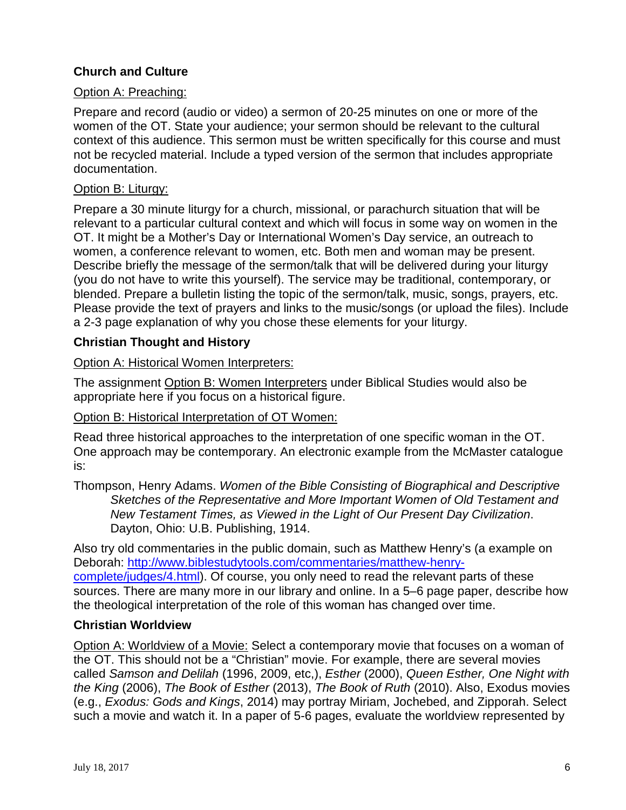## **Church and Culture**

### Option A: Preaching:

Prepare and record (audio or video) a sermon of 20-25 minutes on one or more of the women of the OT. State your audience; your sermon should be relevant to the cultural context of this audience. This sermon must be written specifically for this course and must not be recycled material. Include a typed version of the sermon that includes appropriate documentation.

#### Option B: Liturgy:

Prepare a 30 minute liturgy for a church, missional, or parachurch situation that will be relevant to a particular cultural context and which will focus in some way on women in the OT. It might be a Mother's Day or International Women's Day service, an outreach to women, a conference relevant to women, etc. Both men and woman may be present. Describe briefly the message of the sermon/talk that will be delivered during your liturgy (you do not have to write this yourself). The service may be traditional, contemporary, or blended. Prepare a bulletin listing the topic of the sermon/talk, music, songs, prayers, etc. Please provide the text of prayers and links to the music/songs (or upload the files). Include a 2-3 page explanation of why you chose these elements for your liturgy.

### **Christian Thought and History**

### Option A: Historical Women Interpreters:

The assignment Option B: Women Interpreters under Biblical Studies would also be appropriate here if you focus on a historical figure.

#### Option B: Historical Interpretation of OT Women:

Read three historical approaches to the interpretation of one specific woman in the OT. One approach may be contemporary. An electronic example from the McMaster catalogue is:

Thompson, Henry Adams. *Women of the Bible Consisting of Biographical and Descriptive Sketches of the Representative and More Important Women of Old Testament and New Testament Times, as Viewed in the Light of Our Present Day Civilization*. Dayton, Ohio: U.B. Publishing, 1914.

Also try old commentaries in the public domain, such as Matthew Henry's (a example on Deborah: [http://www.biblestudytools.com/commentaries/matthew-henry](http://www.biblestudytools.com/commentaries/matthew-henry-complete/judges/4.html)[complete/judges/4.html\)](http://www.biblestudytools.com/commentaries/matthew-henry-complete/judges/4.html). Of course, you only need to read the relevant parts of these sources. There are many more in our library and online. In a 5–6 page paper, describe how the theological interpretation of the role of this woman has changed over time.

#### **Christian Worldview**

Option A: Worldview of a Movie: Select a contemporary movie that focuses on a woman of the OT. This should not be a "Christian" movie. For example, there are several movies called *Samson and Delilah* (1996, 2009, etc,), *Esther* (2000), *Queen Esther, One Night with the King* (2006), *The Book of Esther* (2013), *The Book of Ruth* (2010). Also, Exodus movies (e.g., *Exodus: Gods and Kings*, 2014) may portray Miriam, Jochebed, and Zipporah. Select such a movie and watch it. In a paper of 5-6 pages, evaluate the worldview represented by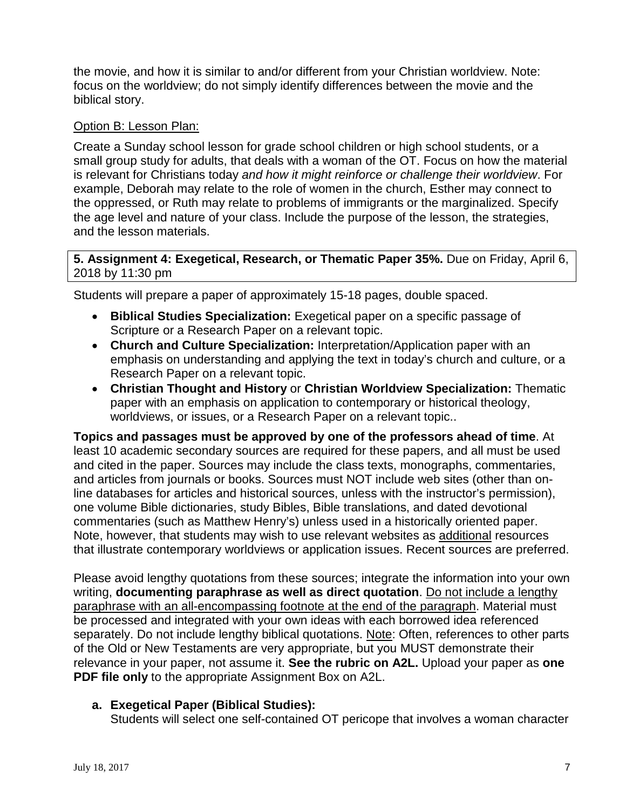the movie, and how it is similar to and/or different from your Christian worldview. Note: focus on the worldview; do not simply identify differences between the movie and the biblical story.

### Option B: Lesson Plan:

Create a Sunday school lesson for grade school children or high school students, or a small group study for adults, that deals with a woman of the OT. Focus on how the material is relevant for Christians today *and how it might reinforce or challenge their worldview*. For example, Deborah may relate to the role of women in the church, Esther may connect to the oppressed, or Ruth may relate to problems of immigrants or the marginalized. Specify the age level and nature of your class. Include the purpose of the lesson, the strategies, and the lesson materials.

#### **5. Assignment 4: Exegetical, Research, or Thematic Paper 35%.** Due on Friday, April 6, 2018 by 11:30 pm

Students will prepare a paper of approximately 15-18 pages, double spaced.

- **Biblical Studies Specialization:** Exegetical paper on a specific passage of Scripture or a Research Paper on a relevant topic.
- **Church and Culture Specialization:** Interpretation/Application paper with an emphasis on understanding and applying the text in today's church and culture, or a Research Paper on a relevant topic.
- **Christian Thought and History** or **Christian Worldview Specialization:** Thematic paper with an emphasis on application to contemporary or historical theology, worldviews, or issues, or a Research Paper on a relevant topic..

**Topics and passages must be approved by one of the professors ahead of time**. At least 10 academic secondary sources are required for these papers, and all must be used and cited in the paper. Sources may include the class texts, monographs, commentaries, and articles from journals or books. Sources must NOT include web sites (other than online databases for articles and historical sources, unless with the instructor's permission), one volume Bible dictionaries, study Bibles, Bible translations, and dated devotional commentaries (such as Matthew Henry's) unless used in a historically oriented paper. Note, however, that students may wish to use relevant websites as additional resources that illustrate contemporary worldviews or application issues. Recent sources are preferred.

Please avoid lengthy quotations from these sources; integrate the information into your own writing, **documenting paraphrase as well as direct quotation**. Do not include a lengthy paraphrase with an all-encompassing footnote at the end of the paragraph. Material must be processed and integrated with your own ideas with each borrowed idea referenced separately. Do not include lengthy biblical quotations. Note: Often, references to other parts of the Old or New Testaments are very appropriate, but you MUST demonstrate their relevance in your paper, not assume it. **See the rubric on A2L.** Upload your paper as **one PDF file only** to the appropriate Assignment Box on A2L.

## **a. Exegetical Paper (Biblical Studies):**

Students will select one self-contained OT pericope that involves a woman character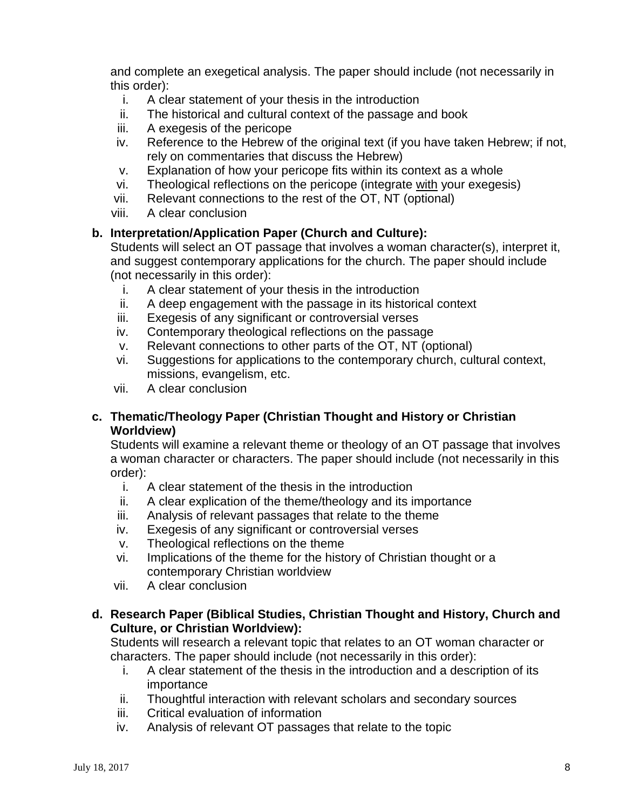and complete an exegetical analysis. The paper should include (not necessarily in this order):

- i. A clear statement of your thesis in the introduction
- ii. The historical and cultural context of the passage and book
- iii. A exegesis of the pericope
- iv. Reference to the Hebrew of the original text (if you have taken Hebrew; if not, rely on commentaries that discuss the Hebrew)
- v. Explanation of how your pericope fits within its context as a whole
- vi. Theological reflections on the pericope (integrate with your exegesis)
- vii. Relevant connections to the rest of the OT, NT (optional)
- viii. A clear conclusion

### **b. Interpretation/Application Paper (Church and Culture):**

Students will select an OT passage that involves a woman character(s), interpret it, and suggest contemporary applications for the church. The paper should include (not necessarily in this order):

- i. A clear statement of your thesis in the introduction
- ii. A deep engagement with the passage in its historical context
- iii. Exegesis of any significant or controversial verses
- iv. Contemporary theological reflections on the passage
- v. Relevant connections to other parts of the OT, NT (optional)
- vi. Suggestions for applications to the contemporary church, cultural context, missions, evangelism, etc.
- vii. A clear conclusion

### **c. Thematic/Theology Paper (Christian Thought and History or Christian Worldview)**

Students will examine a relevant theme or theology of an OT passage that involves a woman character or characters. The paper should include (not necessarily in this order):

- i. A clear statement of the thesis in the introduction
- ii. A clear explication of the theme/theology and its importance
- iii. Analysis of relevant passages that relate to the theme
- iv. Exegesis of any significant or controversial verses
- v. Theological reflections on the theme
- vi. Implications of the theme for the history of Christian thought or a contemporary Christian worldview
- vii. A clear conclusion

### **d. Research Paper (Biblical Studies, Christian Thought and History, Church and Culture, or Christian Worldview):**

Students will research a relevant topic that relates to an OT woman character or characters. The paper should include (not necessarily in this order):

- i. A clear statement of the thesis in the introduction and a description of its importance
- ii. Thoughtful interaction with relevant scholars and secondary sources
- iii. Critical evaluation of information
- iv. Analysis of relevant OT passages that relate to the topic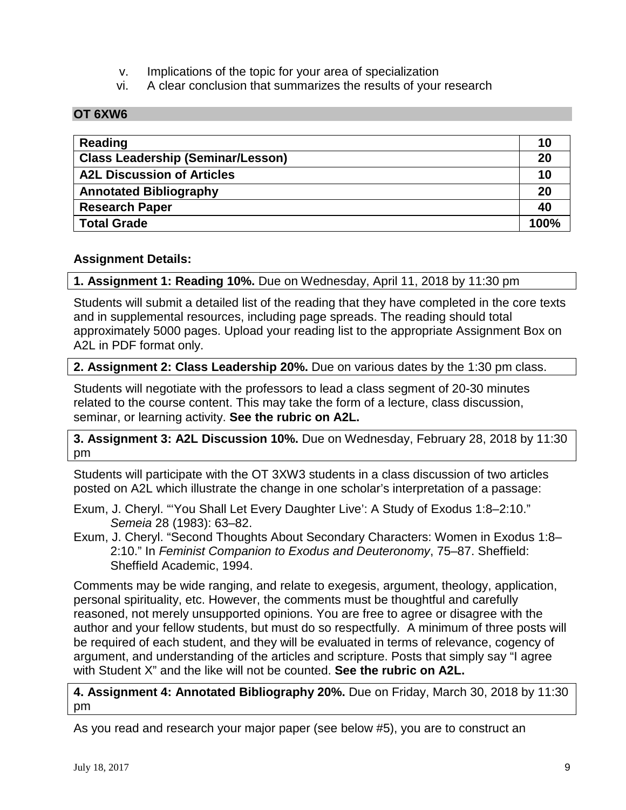- v. Implications of the topic for your area of specialization
- vi. A clear conclusion that summarizes the results of your research

#### **OT 6XW6**

| Reading                                  | 10   |
|------------------------------------------|------|
| <b>Class Leadership (Seminar/Lesson)</b> | 20   |
| <b>A2L Discussion of Articles</b>        | 10   |
| <b>Annotated Bibliography</b>            | 20   |
| <b>Research Paper</b>                    | 40   |
| <b>Total Grade</b>                       | 100% |

#### **Assignment Details:**

**1. Assignment 1: Reading 10%.** Due on Wednesday, April 11, 2018 by 11:30 pm

Students will submit a detailed list of the reading that they have completed in the core texts and in supplemental resources, including page spreads. The reading should total approximately 5000 pages. Upload your reading list to the appropriate Assignment Box on A2L in PDF format only.

#### **2. Assignment 2: Class Leadership 20%.** Due on various dates by the 1:30 pm class.

Students will negotiate with the professors to lead a class segment of 20-30 minutes related to the course content. This may take the form of a lecture, class discussion, seminar, or learning activity. **See the rubric on A2L.**

**3. Assignment 3: A2L Discussion 10%.** Due on Wednesday, February 28, 2018 by 11:30 pm

Students will participate with the OT 3XW3 students in a class discussion of two articles posted on A2L which illustrate the change in one scholar's interpretation of a passage:

- Exum, J. Cheryl. "'You Shall Let Every Daughter Live': A Study of Exodus 1:8–2:10." *Semeia* 28 (1983): 63–82.
- Exum, J. Cheryl. "Second Thoughts About Secondary Characters: Women in Exodus 1:8– 2:10." In *Feminist Companion to Exodus and Deuteronomy*, 75–87. Sheffield: Sheffield Academic, 1994.

Comments may be wide ranging, and relate to exegesis, argument, theology, application, personal spirituality, etc. However, the comments must be thoughtful and carefully reasoned, not merely unsupported opinions. You are free to agree or disagree with the author and your fellow students, but must do so respectfully. A minimum of three posts will be required of each student, and they will be evaluated in terms of relevance, cogency of argument, and understanding of the articles and scripture. Posts that simply say "I agree with Student X" and the like will not be counted. **See the rubric on A2L.**

**4. Assignment 4: Annotated Bibliography 20%.** Due on Friday, March 30, 2018 by 11:30 pm

As you read and research your major paper (see below #5), you are to construct an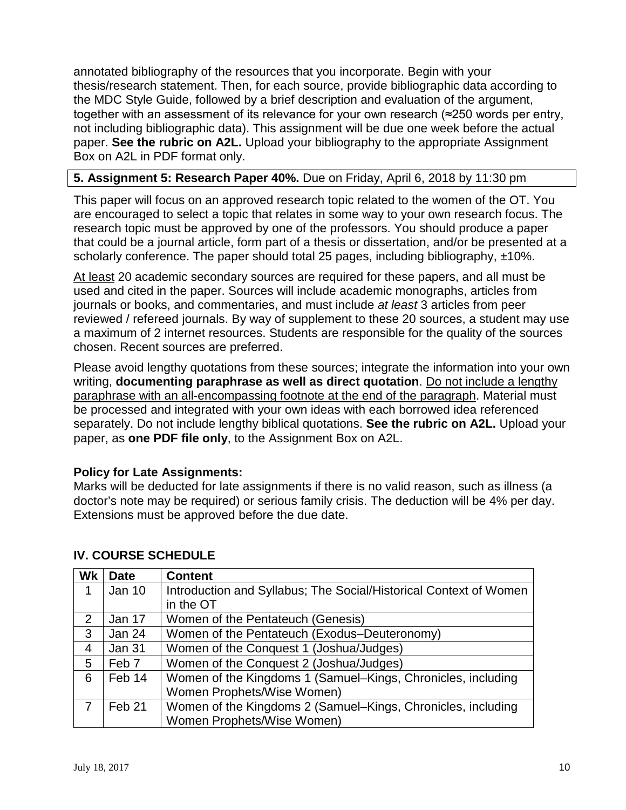annotated bibliography of the resources that you incorporate. Begin with your thesis/research statement. Then, for each source, provide bibliographic data according to the MDC Style Guide, followed by a brief description and evaluation of the argument, together with an assessment of its relevance for your own research (≈250 words per entry, not including bibliographic data). This assignment will be due one week before the actual paper. **See the rubric on A2L.** Upload your bibliography to the appropriate Assignment Box on A2L in PDF format only.

#### **5. Assignment 5: Research Paper 40%.** Due on Friday, April 6, 2018 by 11:30 pm

This paper will focus on an approved research topic related to the women of the OT. You are encouraged to select a topic that relates in some way to your own research focus. The research topic must be approved by one of the professors. You should produce a paper that could be a journal article, form part of a thesis or dissertation, and/or be presented at a scholarly conference. The paper should total 25 pages, including bibliography,  $\pm 10\%$ .

At least 20 academic secondary sources are required for these papers, and all must be used and cited in the paper. Sources will include academic monographs, articles from journals or books, and commentaries, and must include *at least* 3 articles from peer reviewed / refereed journals. By way of supplement to these 20 sources, a student may use a maximum of 2 internet resources. Students are responsible for the quality of the sources chosen. Recent sources are preferred.

Please avoid lengthy quotations from these sources; integrate the information into your own writing, **documenting paraphrase as well as direct quotation**. Do not include a lengthy paraphrase with an all-encompassing footnote at the end of the paragraph. Material must be processed and integrated with your own ideas with each borrowed idea referenced separately. Do not include lengthy biblical quotations. **See the rubric on A2L.** Upload your paper, as **one PDF file only**, to the Assignment Box on A2L.

#### **Policy for Late Assignments:**

Marks will be deducted for late assignments if there is no valid reason, such as illness (a doctor's note may be required) or serious family crisis. The deduction will be 4% per day. Extensions must be approved before the due date.

| Wk | <b>Date</b>       | <b>Content</b>                                                    |
|----|-------------------|-------------------------------------------------------------------|
|    | Jan 10            | Introduction and Syllabus; The Social/Historical Context of Women |
|    |                   | in the OT                                                         |
| 2  | Jan 17            | Women of the Pentateuch (Genesis)                                 |
| 3  | Jan 24            | Women of the Pentateuch (Exodus–Deuteronomy)                      |
| 4  | Jan 31            | Women of the Conquest 1 (Joshua/Judges)                           |
| 5  | Feb <sub>7</sub>  | Women of the Conquest 2 (Joshua/Judges)                           |
| 6  | Feb 14            | Women of the Kingdoms 1 (Samuel-Kings, Chronicles, including      |
|    |                   | Women Prophets/Wise Women)                                        |
|    | Feb <sub>21</sub> | Women of the Kingdoms 2 (Samuel–Kings, Chronicles, including      |
|    |                   | Women Prophets/Wise Women)                                        |

## **IV. COURSE SCHEDULE**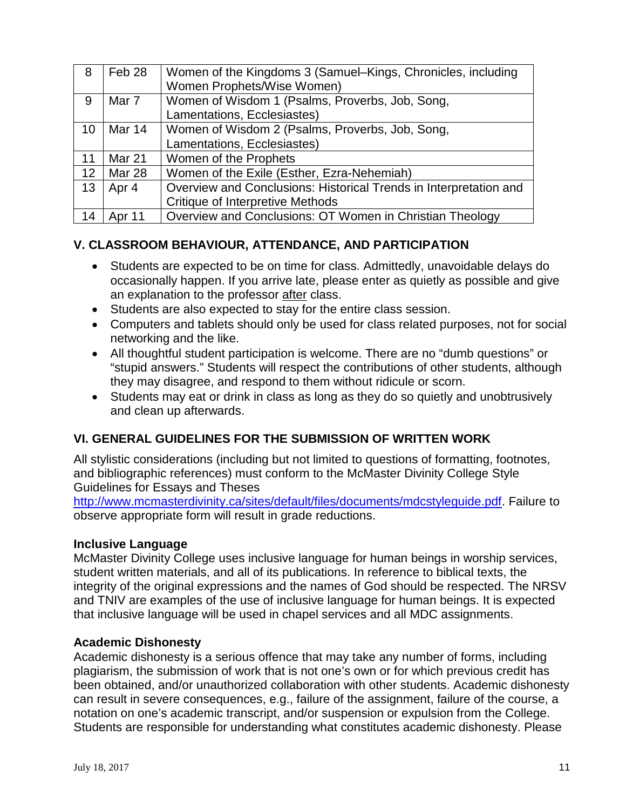| 8  | Feb 28        | Women of the Kingdoms 3 (Samuel–Kings, Chronicles, including      |
|----|---------------|-------------------------------------------------------------------|
|    |               | Women Prophets/Wise Women)                                        |
| 9  | Mar 7         | Women of Wisdom 1 (Psalms, Proverbs, Job, Song,                   |
|    |               | Lamentations, Ecclesiastes)                                       |
| 10 | Mar 14        | Women of Wisdom 2 (Psalms, Proverbs, Job, Song,                   |
|    |               | Lamentations, Ecclesiastes)                                       |
| 11 | <b>Mar 21</b> | Women of the Prophets                                             |
| 12 | Mar 28        | Women of the Exile (Esther, Ezra-Nehemiah)                        |
| 13 | Apr 4         | Overview and Conclusions: Historical Trends in Interpretation and |
|    |               | <b>Critique of Interpretive Methods</b>                           |
| 14 | Apr 11        | Overview and Conclusions: OT Women in Christian Theology          |

## **V. CLASSROOM BEHAVIOUR, ATTENDANCE, AND PARTICIPATION**

- Students are expected to be on time for class. Admittedly, unavoidable delays do occasionally happen. If you arrive late, please enter as quietly as possible and give an explanation to the professor after class.
- Students are also expected to stay for the entire class session.
- Computers and tablets should only be used for class related purposes, not for social networking and the like.
- All thoughtful student participation is welcome. There are no "dumb questions" or "stupid answers." Students will respect the contributions of other students, although they may disagree, and respond to them without ridicule or scorn.
- Students may eat or drink in class as long as they do so quietly and unobtrusively and clean up afterwards.

## **VI. GENERAL GUIDELINES FOR THE SUBMISSION OF WRITTEN WORK**

All stylistic considerations (including but not limited to questions of formatting, footnotes, and bibliographic references) must conform to the McMaster Divinity College Style Guidelines for Essays and Theses

[http://www.mcmasterdivinity.ca/sites/default/files/documents/mdcstyleguide.pdf.](http://www.mcmasterdivinity.ca/sites/default/files/documents/MDCStyleGuide.pdf) Failure to observe appropriate form will result in grade reductions.

#### **Inclusive Language**

McMaster Divinity College uses inclusive language for human beings in worship services, student written materials, and all of its publications. In reference to biblical texts, the integrity of the original expressions and the names of God should be respected. The NRSV and TNIV are examples of the use of inclusive language for human beings. It is expected that inclusive language will be used in chapel services and all MDC assignments.

#### **Academic Dishonesty**

Academic dishonesty is a serious offence that may take any number of forms, including plagiarism, the submission of work that is not one's own or for which previous credit has been obtained, and/or unauthorized collaboration with other students. Academic dishonesty can result in severe consequences, e.g., failure of the assignment, failure of the course, a notation on one's academic transcript, and/or suspension or expulsion from the College. Students are responsible for understanding what constitutes academic dishonesty. Please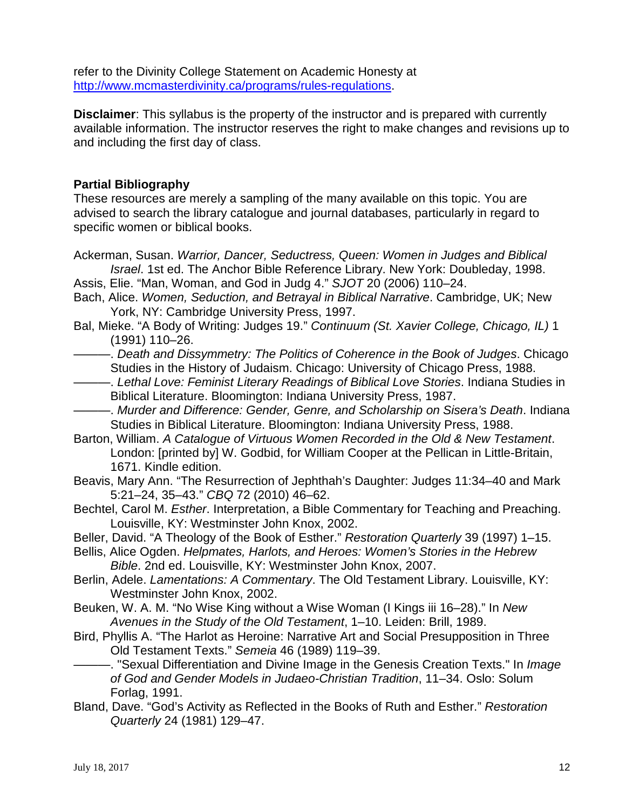refer to the Divinity College Statement on Academic Honesty at [http://www.mcmasterdivinity.ca/programs/rules-regulations.](http://www.mcmasterdivinity.ca/programs/rules-regulations)

**Disclaimer**: This syllabus is the property of the instructor and is prepared with currently available information. The instructor reserves the right to make changes and revisions up to and including the first day of class.

## **Partial Bibliography**

These resources are merely a sampling of the many available on this topic. You are advised to search the library catalogue and journal databases, particularly in regard to specific women or biblical books.

- Ackerman, Susan. *Warrior, Dancer, Seductress, Queen: Women in Judges and Biblical Israel*. 1st ed. The Anchor Bible Reference Library. New York: Doubleday, 1998.
- Assis, Elie. "Man, Woman, and God in Judg 4." *SJOT* 20 (2006) 110–24.
- Bach, Alice. *Women, Seduction, and Betrayal in Biblical Narrative*. Cambridge, UK; New York, NY: Cambridge University Press, 1997.
- Bal, Mieke. "A Body of Writing: Judges 19." *Continuum (St. Xavier College, Chicago, IL)* 1 (1991) 110–26.
- -. *Death and Dissymmetry: The Politics of Coherence in the Book of Judges*. Chicago Studies in the History of Judaism. Chicago: University of Chicago Press, 1988.
- ———. *Lethal Love: Feminist Literary Readings of Biblical Love Stories*. Indiana Studies in Biblical Literature. Bloomington: Indiana University Press, 1987.
- ———. *Murder and Difference: Gender, Genre, and Scholarship on Sisera's Death*. Indiana Studies in Biblical Literature. Bloomington: Indiana University Press, 1988.
- Barton, William. *A Catalogue of Virtuous Women Recorded in the Old & New Testament*. London: [printed by] W. Godbid, for William Cooper at the Pellican in Little-Britain, 1671. Kindle edition.
- Beavis, Mary Ann. "The Resurrection of Jephthah's Daughter: Judges 11:34–40 and Mark 5:21–24, 35–43." *CBQ* 72 (2010) 46–62.
- Bechtel, Carol M. *Esther*. Interpretation, a Bible Commentary for Teaching and Preaching. Louisville, KY: Westminster John Knox, 2002.
- Beller, David. "A Theology of the Book of Esther." *Restoration Quarterly* 39 (1997) 1–15.
- Bellis, Alice Ogden. *Helpmates, Harlots, and Heroes: Women's Stories in the Hebrew Bible*. 2nd ed. Louisville, KY: Westminster John Knox, 2007.
- Berlin, Adele. *Lamentations: A Commentary*. The Old Testament Library. Louisville, KY: Westminster John Knox, 2002.
- Beuken, W. A. M. "No Wise King without a Wise Woman (I Kings iii 16–28)." In *New Avenues in the Study of the Old Testament*, 1–10. Leiden: Brill, 1989.
- Bird, Phyllis A. "The Harlot as Heroine: Narrative Art and Social Presupposition in Three Old Testament Texts." *Semeia* 46 (1989) 119–39.
	- ———. "Sexual Differentiation and Divine Image in the Genesis Creation Texts." In *Image of God and Gender Models in Judaeo-Christian Tradition*, 11–34. Oslo: Solum Forlag, 1991.
- Bland, Dave. "God's Activity as Reflected in the Books of Ruth and Esther." *Restoration Quarterly* 24 (1981) 129–47.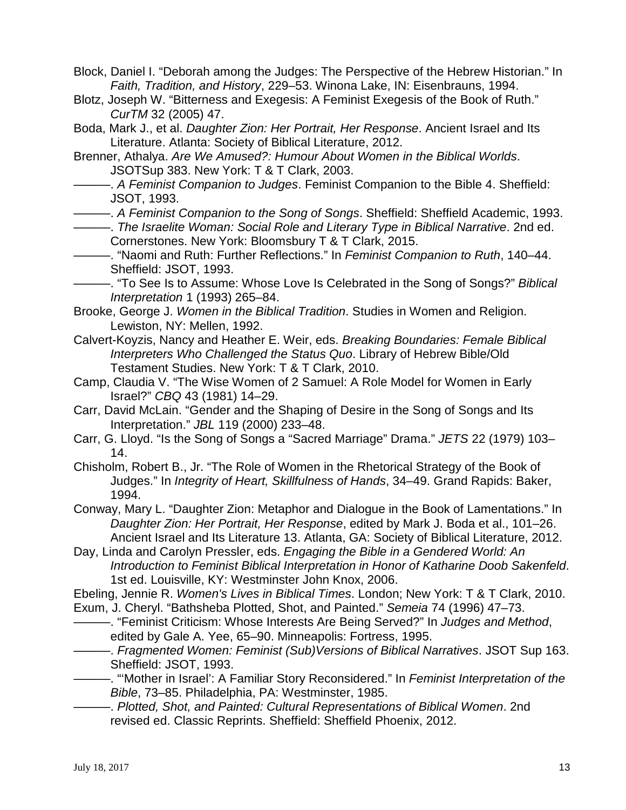- Block, Daniel I. "Deborah among the Judges: The Perspective of the Hebrew Historian." In *Faith, Tradition, and History*, 229–53. Winona Lake, IN: Eisenbrauns, 1994.
- Blotz, Joseph W. "Bitterness and Exegesis: A Feminist Exegesis of the Book of Ruth." *CurTM* 32 (2005) 47.
- Boda, Mark J., et al. *Daughter Zion: Her Portrait, Her Response*. Ancient Israel and Its Literature. Atlanta: Society of Biblical Literature, 2012.
- Brenner, Athalya. *Are We Amused?: Humour About Women in the Biblical Worlds*. JSOTSup 383. New York: T & T Clark, 2003.
- ———. *A Feminist Companion to Judges*. Feminist Companion to the Bible 4. Sheffield: JSOT, 1993.
	- ———. *A Feminist Companion to the Song of Songs*. Sheffield: Sheffield Academic, 1993.
	- ———. *The Israelite Woman: Social Role and Literary Type in Biblical Narrative*. 2nd ed. Cornerstones. New York: Bloomsbury T & T Clark, 2015.
- ———. "Naomi and Ruth: Further Reflections." In *Feminist Companion to Ruth*, 140–44. Sheffield: JSOT, 1993.

———. "To See Is to Assume: Whose Love Is Celebrated in the Song of Songs?" *Biblical Interpretation* 1 (1993) 265–84.

- Brooke, George J. *Women in the Biblical Tradition*. Studies in Women and Religion. Lewiston, NY: Mellen, 1992.
- Calvert-Koyzis, Nancy and Heather E. Weir, eds. *Breaking Boundaries: Female Biblical Interpreters Who Challenged the Status Quo*. Library of Hebrew Bible/Old Testament Studies. New York: T & T Clark, 2010.
- Camp, Claudia V. "The Wise Women of 2 Samuel: A Role Model for Women in Early Israel?" *CBQ* 43 (1981) 14–29.
- Carr, David McLain. "Gender and the Shaping of Desire in the Song of Songs and Its Interpretation." *JBL* 119 (2000) 233–48.
- Carr, G. Lloyd. "Is the Song of Songs a "Sacred Marriage" Drama." *JETS* 22 (1979) 103– 14.
- Chisholm, Robert B., Jr. "The Role of Women in the Rhetorical Strategy of the Book of Judges." In *Integrity of Heart, Skillfulness of Hands*, 34–49. Grand Rapids: Baker, 1994.
- Conway, Mary L. "Daughter Zion: Metaphor and Dialogue in the Book of Lamentations." In *Daughter Zion: Her Portrait, Her Response*, edited by Mark J. Boda et al., 101–26. Ancient Israel and Its Literature 13. Atlanta, GA: Society of Biblical Literature, 2012.
- Day, Linda and Carolyn Pressler, eds. *Engaging the Bible in a Gendered World: An Introduction to Feminist Biblical Interpretation in Honor of Katharine Doob Sakenfeld*. 1st ed. Louisville, KY: Westminster John Knox, 2006.

Ebeling, Jennie R. *Women's Lives in Biblical Times*. London; New York: T & T Clark, 2010. Exum, J. Cheryl. "Bathsheba Plotted, Shot, and Painted." *Semeia* 74 (1996) 47–73.

- ———. "Feminist Criticism: Whose Interests Are Being Served?" In *Judges and Method*, edited by Gale A. Yee, 65–90. Minneapolis: Fortress, 1995.
- ———. *Fragmented Women: Feminist (Sub)Versions of Biblical Narratives*. JSOT Sup 163. Sheffield: JSOT, 1993.
- ———. "'Mother in Israel': A Familiar Story Reconsidered." In *Feminist Interpretation of the Bible*, 73–85. Philadelphia, PA: Westminster, 1985.
	- ———. *Plotted, Shot, and Painted: Cultural Representations of Biblical Women*. 2nd revised ed. Classic Reprints. Sheffield: Sheffield Phoenix, 2012.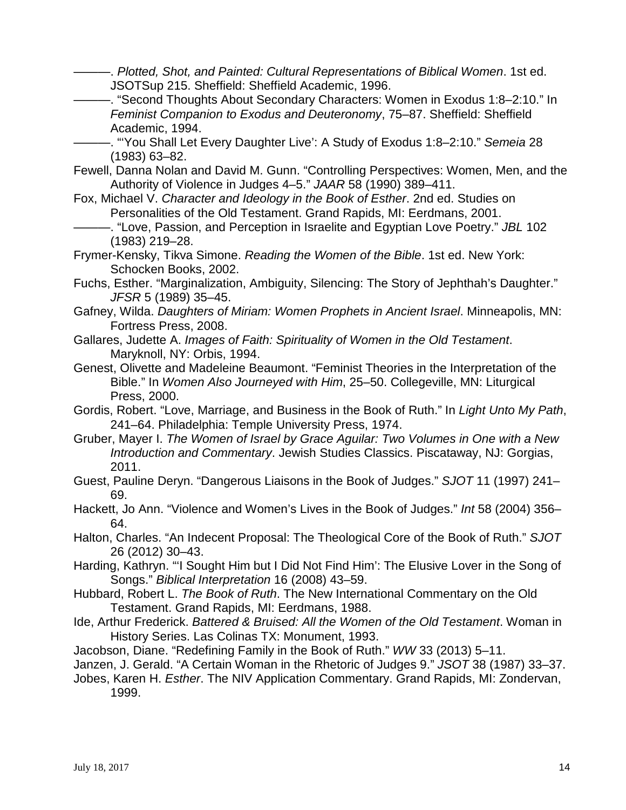———. *Plotted, Shot, and Painted: Cultural Representations of Biblical Women*. 1st ed. JSOTSup 215. Sheffield: Sheffield Academic, 1996.

———. "Second Thoughts About Secondary Characters: Women in Exodus 1:8–2:10." In *Feminist Companion to Exodus and Deuteronomy*, 75–87. Sheffield: Sheffield Academic, 1994.

———. "'You Shall Let Every Daughter Live': A Study of Exodus 1:8–2:10." *Semeia* 28 (1983) 63–82.

- Fewell, Danna Nolan and David M. Gunn. "Controlling Perspectives: Women, Men, and the Authority of Violence in Judges 4–5." *JAAR* 58 (1990) 389–411.
- Fox, Michael V. *Character and Ideology in the Book of Esther*. 2nd ed. Studies on Personalities of the Old Testament. Grand Rapids, MI: Eerdmans, 2001.
	- ———. "Love, Passion, and Perception in Israelite and Egyptian Love Poetry." *JBL* 102 (1983) 219–28.
- Frymer-Kensky, Tikva Simone. *Reading the Women of the Bible*. 1st ed. New York: Schocken Books, 2002.
- Fuchs, Esther. "Marginalization, Ambiguity, Silencing: The Story of Jephthah's Daughter." *JFSR* 5 (1989) 35–45.
- Gafney, Wilda. *Daughters of Miriam: Women Prophets in Ancient Israel*. Minneapolis, MN: Fortress Press, 2008.
- Gallares, Judette A. *Images of Faith: Spirituality of Women in the Old Testament*. Maryknoll, NY: Orbis, 1994.

Genest, Olivette and Madeleine Beaumont. "Feminist Theories in the Interpretation of the Bible." In *Women Also Journeyed with Him*, 25–50. Collegeville, MN: Liturgical Press, 2000.

- Gordis, Robert. "Love, Marriage, and Business in the Book of Ruth." In *Light Unto My Path*, 241–64. Philadelphia: Temple University Press, 1974.
- Gruber, Mayer I. *The Women of Israel by Grace Aguilar: Two Volumes in One with a New Introduction and Commentary*. Jewish Studies Classics. Piscataway, NJ: Gorgias, 2011.
- Guest, Pauline Deryn. "Dangerous Liaisons in the Book of Judges." *SJOT* 11 (1997) 241– 69.
- Hackett, Jo Ann. "Violence and Women's Lives in the Book of Judges." *Int* 58 (2004) 356– 64.
- Halton, Charles. "An Indecent Proposal: The Theological Core of the Book of Ruth." *SJOT*  26 (2012) 30–43.
- Harding, Kathryn. "'I Sought Him but I Did Not Find Him': The Elusive Lover in the Song of Songs." *Biblical Interpretation* 16 (2008) 43–59.
- Hubbard, Robert L. *The Book of Ruth*. The New International Commentary on the Old Testament. Grand Rapids, MI: Eerdmans, 1988.
- Ide, Arthur Frederick. *Battered & Bruised: All the Women of the Old Testament*. Woman in History Series. Las Colinas TX: Monument, 1993.
- Jacobson, Diane. "Redefining Family in the Book of Ruth." *WW* 33 (2013) 5–11.
- Janzen, J. Gerald. "A Certain Woman in the Rhetoric of Judges 9." *JSOT* 38 (1987) 33–37.

Jobes, Karen H. *Esther*. The NIV Application Commentary. Grand Rapids, MI: Zondervan, 1999.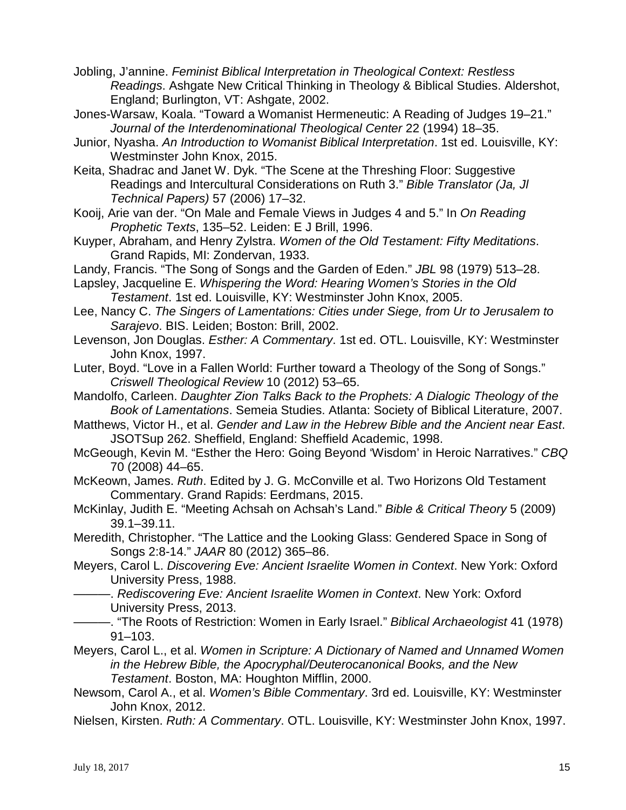- Jobling, J'annine. *Feminist Biblical Interpretation in Theological Context: Restless Readings*. Ashgate New Critical Thinking in Theology & Biblical Studies. Aldershot, England; Burlington, VT: Ashgate, 2002.
- Jones-Warsaw, Koala. "Toward a Womanist Hermeneutic: A Reading of Judges 19–21." *Journal of the Interdenominational Theological Center* 22 (1994) 18–35.
- Junior, Nyasha. *An Introduction to Womanist Biblical Interpretation*. 1st ed. Louisville, KY: Westminster John Knox, 2015.
- Keita, Shadrac and Janet W. Dyk. "The Scene at the Threshing Floor: Suggestive Readings and Intercultural Considerations on Ruth 3." *Bible Translator (Ja, Jl Technical Papers)* 57 (2006) 17–32.
- Kooij, Arie van der. "On Male and Female Views in Judges 4 and 5." In *On Reading Prophetic Texts*, 135–52. Leiden: E J Brill, 1996.
- Kuyper, Abraham, and Henry Zylstra. *Women of the Old Testament: Fifty Meditations*. Grand Rapids, MI: Zondervan, 1933.
- Landy, Francis. "The Song of Songs and the Garden of Eden." *JBL* 98 (1979) 513–28.

Lapsley, Jacqueline E. *Whispering the Word: Hearing Women's Stories in the Old Testament*. 1st ed. Louisville, KY: Westminster John Knox, 2005.

- Lee, Nancy C. *The Singers of Lamentations: Cities under Siege, from Ur to Jerusalem to Sarajevo*. BIS. Leiden; Boston: Brill, 2002.
- Levenson, Jon Douglas. *Esther: A Commentary*. 1st ed. OTL. Louisville, KY: Westminster John Knox, 1997.

Luter, Boyd. "Love in a Fallen World: Further toward a Theology of the Song of Songs." *Criswell Theological Review* 10 (2012) 53–65.

Mandolfo, Carleen. *Daughter Zion Talks Back to the Prophets: A Dialogic Theology of the Book of Lamentations*. Semeia Studies. Atlanta: Society of Biblical Literature, 2007.

Matthews, Victor H., et al. *Gender and Law in the Hebrew Bible and the Ancient near East*. JSOTSup 262. Sheffield, England: Sheffield Academic, 1998.

McGeough, Kevin M. "Esther the Hero: Going Beyond 'Wisdom' in Heroic Narratives." *CBQ*  70 (2008) 44–65.

McKeown, James. *Ruth*. Edited by J. G. McConville et al. Two Horizons Old Testament Commentary. Grand Rapids: Eerdmans, 2015.

McKinlay, Judith E. "Meeting Achsah on Achsah's Land." *Bible & Critical Theory* 5 (2009) 39.1–39.11.

Meredith, Christopher. "The Lattice and the Looking Glass: Gendered Space in Song of Songs 2:8-14." *JAAR* 80 (2012) 365–86.

Meyers, Carol L. *Discovering Eve: Ancient Israelite Women in Context*. New York: Oxford University Press, 1988.

- ———. *Rediscovering Eve: Ancient Israelite Women in Context*. New York: Oxford University Press, 2013.
	- ———. "The Roots of Restriction: Women in Early Israel." *Biblical Archaeologist* 41 (1978) 91–103.
- Meyers, Carol L., et al. *Women in Scripture: A Dictionary of Named and Unnamed Women in the Hebrew Bible, the Apocryphal/Deuterocanonical Books, and the New Testament*. Boston, MA: Houghton Mifflin, 2000.
- Newsom, Carol A., et al. *Women's Bible Commentary*. 3rd ed. Louisville, KY: Westminster John Knox, 2012.
- Nielsen, Kirsten. *Ruth: A Commentary*. OTL. Louisville, KY: Westminster John Knox, 1997.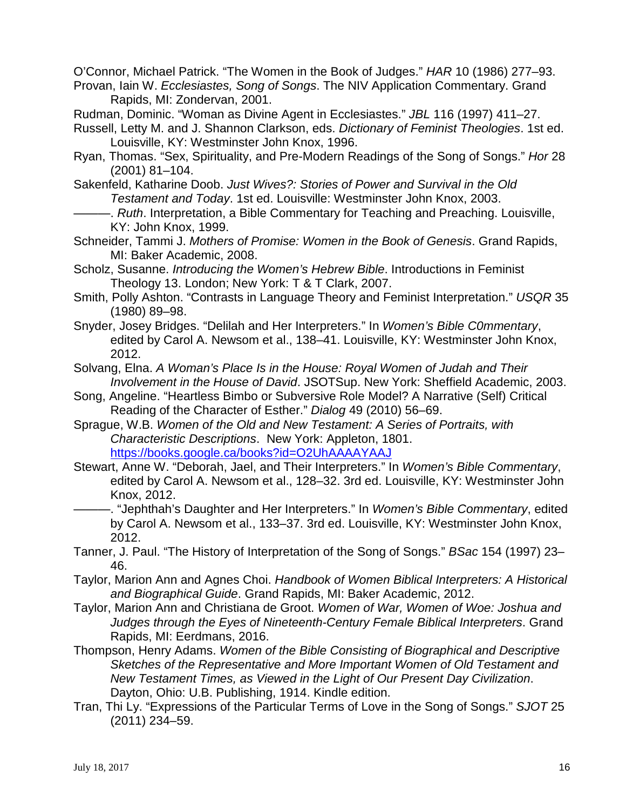O'Connor, Michael Patrick. "The Women in the Book of Judges." *HAR* 10 (1986) 277–93. Provan, Iain W. *Ecclesiastes, Song of Songs*. The NIV Application Commentary. Grand

Rapids, MI: Zondervan, 2001.

Rudman, Dominic. "Woman as Divine Agent in Ecclesiastes." *JBL* 116 (1997) 411–27.

- Russell, Letty M. and J. Shannon Clarkson, eds. *Dictionary of Feminist Theologies*. 1st ed. Louisville, KY: Westminster John Knox, 1996.
- Ryan, Thomas. "Sex, Spirituality, and Pre-Modern Readings of the Song of Songs." *Hor* 28 (2001) 81–104.

Sakenfeld, Katharine Doob. *Just Wives?: Stories of Power and Survival in the Old Testament and Today*. 1st ed. Louisville: Westminster John Knox, 2003.

. Ruth. Interpretation, a Bible Commentary for Teaching and Preaching. Louisville, KY: John Knox, 1999.

- Schneider, Tammi J. *Mothers of Promise: Women in the Book of Genesis*. Grand Rapids, MI: Baker Academic, 2008.
- Scholz, Susanne. *Introducing the Women's Hebrew Bible*. Introductions in Feminist Theology 13. London; New York: T & T Clark, 2007.
- Smith, Polly Ashton. "Contrasts in Language Theory and Feminist Interpretation." *USQR* 35 (1980) 89–98.
- Snyder, Josey Bridges. "Delilah and Her Interpreters." In *Women's Bible C0mmentary*, edited by Carol A. Newsom et al., 138–41. Louisville, KY: Westminster John Knox, 2012.

Solvang, Elna. *A Woman's Place Is in the House: Royal Women of Judah and Their Involvement in the House of David*. JSOTSup. New York: Sheffield Academic, 2003.

- Song, Angeline. "Heartless Bimbo or Subversive Role Model? A Narrative (Self) Critical Reading of the Character of Esther." *Dialog* 49 (2010) 56–69.
- Sprague, W.B. *Women of the Old and New Testament: A Series of Portraits, with Characteristic Descriptions*. New York: Appleton, 1801. <https://books.google.ca/books?id=O2UhAAAAYAAJ>
- Stewart, Anne W. "Deborah, Jael, and Their Interpreters." In *Women's Bible Commentary*, edited by Carol A. Newsom et al., 128–32. 3rd ed. Louisville, KY: Westminster John Knox, 2012.
	- -. "Jephthah's Daughter and Her Interpreters." In *Women's Bible Commentary*, edited by Carol A. Newsom et al., 133–37. 3rd ed. Louisville, KY: Westminster John Knox, 2012.
- Tanner, J. Paul. "The History of Interpretation of the Song of Songs." *BSac* 154 (1997) 23– 46.
- Taylor, Marion Ann and Agnes Choi. *Handbook of Women Biblical Interpreters: A Historical and Biographical Guide*. Grand Rapids, MI: Baker Academic, 2012.
- Taylor, Marion Ann and Christiana de Groot. *Women of War, Women of Woe: Joshua and Judges through the Eyes of Nineteenth-Century Female Biblical Interpreters*. Grand Rapids, MI: Eerdmans, 2016.
- Thompson, Henry Adams. *Women of the Bible Consisting of Biographical and Descriptive Sketches of the Representative and More Important Women of Old Testament and New Testament Times, as Viewed in the Light of Our Present Day Civilization*. Dayton, Ohio: U.B. Publishing, 1914. Kindle edition.
- Tran, Thi Ly. "Expressions of the Particular Terms of Love in the Song of Songs." *SJOT* 25 (2011) 234–59.